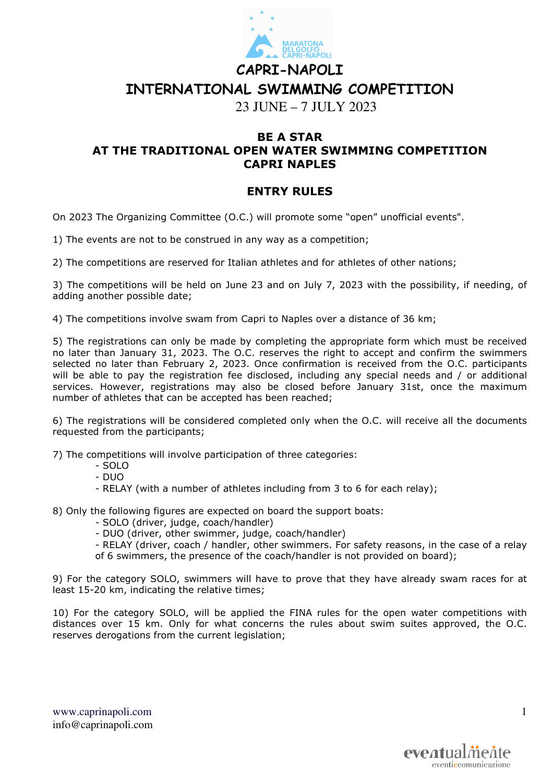

## **CAPRI-NAPOLI INTERNATIONAL SWIMMING COMPETITION**

23 JUNE – 7 JULY 2023

## **BE A STAR AT THE TRADITIONAL OPEN WATER SWIMMING COMPETITION CAPRI NAPLES**

## **ENTRY RULES**

On 2023 The Organizing Committee (O.C.) will promote some "open" unofficial events".

1) The events are not to be construed in any way as a competition;

2) The competitions are reserved for Italian athletes and for athletes of other nations;

3) The competitions will be held on June 23 and on July 7, 2023 with the possibility, if needing, of adding another possible date;

4) The competitions involve swam from Capri to Naples over a distance of 36 km;

5) The registrations can only be made by completing the appropriate form which must be received no later than January 31, 2023. The O.C. reserves the right to accept and confirm the swimmers selected no later than February 2, 2023. Once confirmation is received from the O.C. participants will be able to pay the registration fee disclosed, including any special needs and / or additional services. However, registrations may also be closed before January 31st, once the maximum number of athletes that can be accepted has been reached;

6) The registrations will be considered completed only when the O.C. will receive all the documents requested from the participants;

7) The competitions will involve participation of three categories:

- SOLO
- DUO
- RELAY (with a number of athletes including from 3 to 6 for each relay);
- 8) Only the following figures are expected on board the support boats:
	- SOLO (driver, judge, coach/handler)
	- DUO (driver, other swimmer, judge, coach/handler)

- RELAY (driver, coach / handler, other swimmers. For safety reasons, in the case of a relay of 6 swimmers, the presence of the coach/handler is not provided on board);

9) For the category SOLO, swimmers will have to prove that they have already swam races for at least 15-20 km, indicating the relative times;

10) For the category SOLO, will be applied the FINA rules for the open water competitions with distances over 15 km. Only for what concerns the rules about swim suites approved, the O.C. reserves derogations from the current legislation;

www.caprinapoli.com info@caprinapoli.com 1

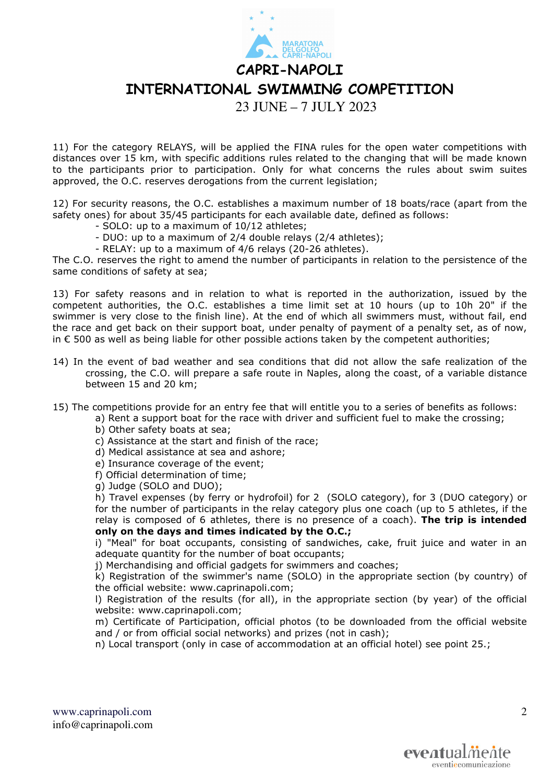**CAPRI-NAPOLI** 

**INTERNATIONAL SWIMMING COMPETITION** 

23 JUNE – 7 JULY 2023

11) For the category RELAYS, will be applied the FINA rules for the open water competitions with distances over 15 km, with specific additions rules related to the changing that will be made known to the participants prior to participation. Only for what concerns the rules about swim suites approved, the O.C. reserves derogations from the current legislation;

12) For security reasons, the O.C. establishes a maximum number of 18 boats/race (apart from the safety ones) for about 35/45 participants for each available date, defined as follows:

- SOLO: up to a maximum of 10/12 athletes;
- DUO: up to a maximum of 2/4 double relays (2/4 athletes);
- RELAY: up to a maximum of 4/6 relays (20-26 athletes).

The C.O. reserves the right to amend the number of participants in relation to the persistence of the same conditions of safety at sea;

13) For safety reasons and in relation to what is reported in the authorization, issued by the competent authorities, the O.C. establishes a time limit set at 10 hours (up to 10h 20" if the swimmer is very close to the finish line). At the end of which all swimmers must, without fail, end the race and get back on their support boat, under penalty of payment of a penalty set, as of now, in € 500 as well as being liable for other possible actions taken by the competent authorities;

- 14) In the event of bad weather and sea conditions that did not allow the safe realization of the crossing, the C.O. will prepare a safe route in Naples, along the coast, of a variable distance between 15 and 20 km;
- 15) The competitions provide for an entry fee that will entitle you to a series of benefits as follows:
	- a) Rent a support boat for the race with driver and sufficient fuel to make the crossing;
		- b) Other safety boats at sea;
		- c) Assistance at the start and finish of the race;
		- d) Medical assistance at sea and ashore;
		- e) Insurance coverage of the event;
		- f) Official determination of time;
		- g) Judge (SOLO and DUO);

h) Travel expenses (by ferry or hydrofoil) for 2 (SOLO category), for 3 (DUO category) or for the number of participants in the relay category plus one coach (up to 5 athletes, if the relay is composed of 6 athletes, there is no presence of a coach). **The trip is intended only on the days and times indicated by the O.C.;**

i) "Meal" for boat occupants, consisting of sandwiches, cake, fruit juice and water in an adequate quantity for the number of boat occupants;

j) Merchandising and official gadgets for swimmers and coaches;

k) Registration of the swimmer's name (SOLO) in the appropriate section (by country) of the official website: www.caprinapoli.com;

l) Registration of the results (for all), in the appropriate section (by year) of the official website: www.caprinapoli.com;

m) Certificate of Participation, official photos (to be downloaded from the official website and / or from official social networks) and prizes (not in cash);

n) Local transport (only in case of accommodation at an official hotel) see point 25.;

www.caprinapoli.com info@caprinapoli.com  $\mathcal{D}_{\mathcal{L}}$ 

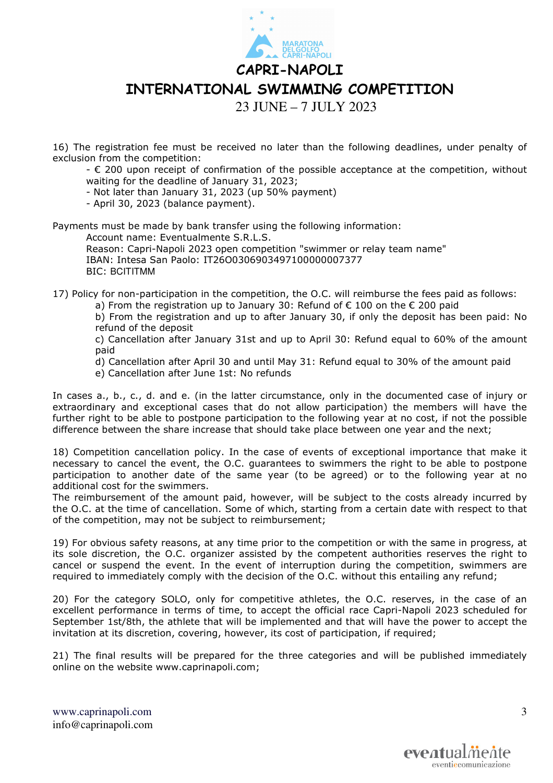**CAPRI-NAPOLI INTERNATIONAL SWIMMING COMPETITION** 

23 JUNE – 7 JULY 2023

16) The registration fee must be received no later than the following deadlines, under penalty of exclusion from the competition:

- € 200 upon receipt of confirmation of the possible acceptance at the competition, without waiting for the deadline of January 31, 2023;

- Not later than January 31, 2023 (up 50% payment)

- April 30, 2023 (balance payment).

Payments must be made by bank transfer using the following information:

Account name: Eventualmente S.R.L.S.

Reason: Capri-Napoli 2023 open competition "swimmer or relay team name" IBAN: Intesa San Paolo: IT26O0306903497100000007377 BIC: BCITITMM

17) Policy for non-participation in the competition, the O.C. will reimburse the fees paid as follows:

a) From the registration up to January 30: Refund of  $\epsilon$  100 on the  $\epsilon$  200 paid

b) From the registration and up to after January 30, if only the deposit has been paid: No refund of the deposit

c) Cancellation after January 31st and up to April 30: Refund equal to 60% of the amount paid

d) Cancellation after April 30 and until May 31: Refund equal to 30% of the amount paid

e) Cancellation after June 1st: No refunds

In cases a., b., c., d. and e. (in the latter circumstance, only in the documented case of injury or extraordinary and exceptional cases that do not allow participation) the members will have the further right to be able to postpone participation to the following year at no cost, if not the possible difference between the share increase that should take place between one year and the next;

18) Competition cancellation policy. In the case of events of exceptional importance that make it necessary to cancel the event, the O.C. guarantees to swimmers the right to be able to postpone participation to another date of the same year (to be agreed) or to the following year at no additional cost for the swimmers.

The reimbursement of the amount paid, however, will be subject to the costs already incurred by the O.C. at the time of cancellation. Some of which, starting from a certain date with respect to that of the competition, may not be subject to reimbursement;

19) For obvious safety reasons, at any time prior to the competition or with the same in progress, at its sole discretion, the O.C. organizer assisted by the competent authorities reserves the right to cancel or suspend the event. In the event of interruption during the competition, swimmers are required to immediately comply with the decision of the O.C. without this entailing any refund;

20) For the category SOLO, only for competitive athletes, the O.C. reserves, in the case of an excellent performance in terms of time, to accept the official race Capri-Napoli 2023 scheduled for September 1st/8th, the athlete that will be implemented and that will have the power to accept the invitation at its discretion, covering, however, its cost of participation, if required;

21) The final results will be prepared for the three categories and will be published immediately online on the website www.caprinapoli.com;

www.caprinapoli.com info@caprinapoli.com 3